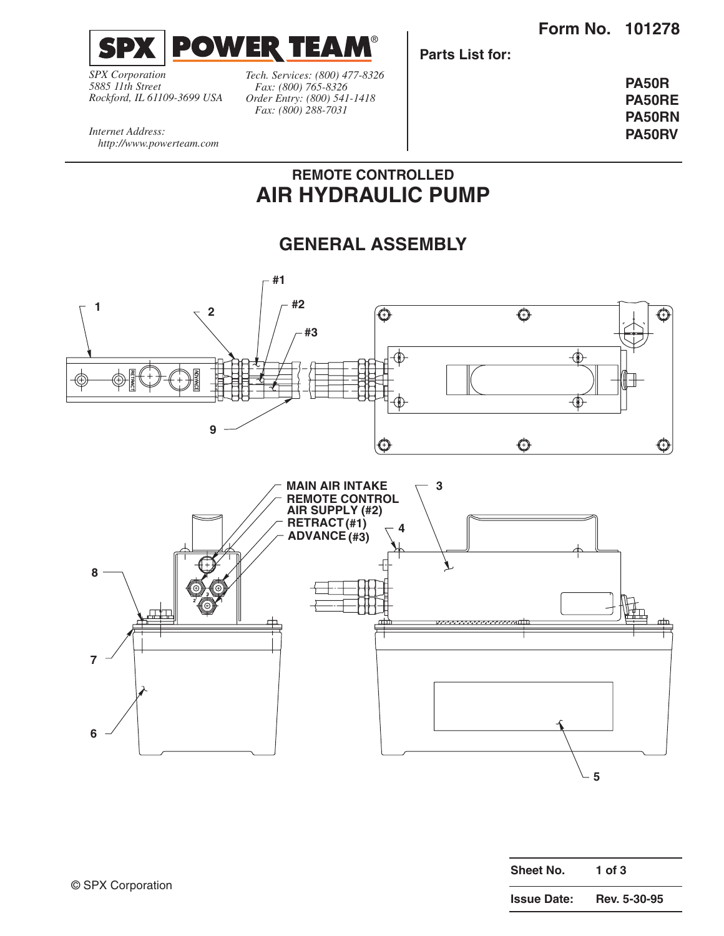**Form No. 101278**



*SPX Corporation 5885 11th Street Rockford, IL 61109-3699 USA*

*Tech. Services: (800) 477-8326 Fax: (800) 765-8326 Order Entry: (800) 541-1418 Fax: (800) 288-7031*

**Parts List for:**

**PA50R PA50RE PA50RN PA50RV**

*Internet Address: http://www.powerteam.com*

## **REMOTE CONTROLLED AIR HYDRAULIC PUMP**

## **GENERAL ASSEMBLY**



| Sheet No.          | 1 of $3$     |  |  |  |
|--------------------|--------------|--|--|--|
| <b>Issue Date:</b> | Rev. 5-30-95 |  |  |  |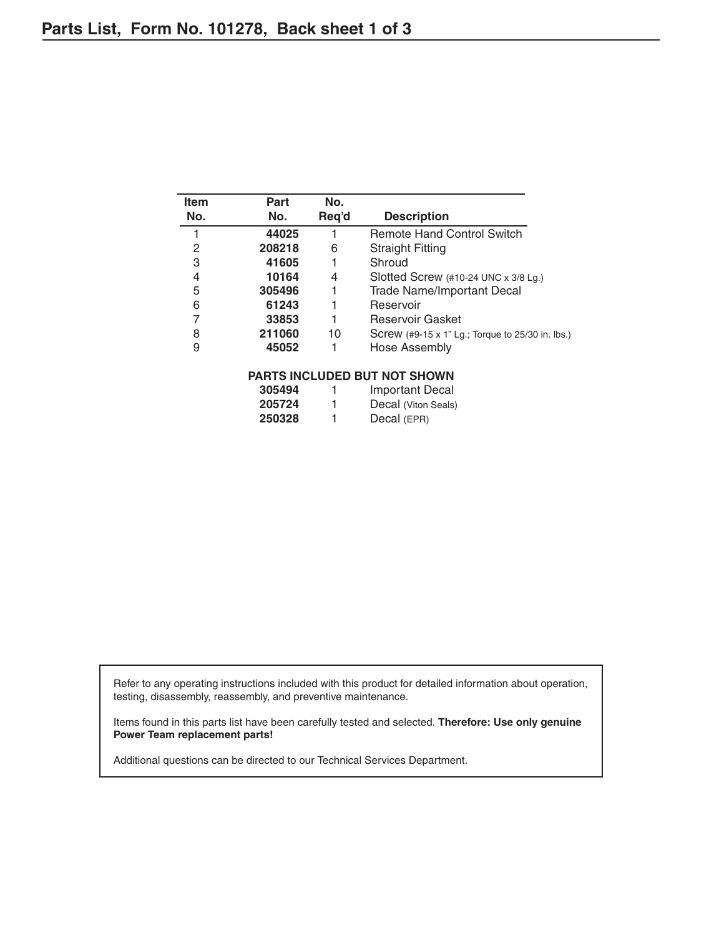| <b>Item</b>                         | Part   | No.   |                                                              |  |  |  |
|-------------------------------------|--------|-------|--------------------------------------------------------------|--|--|--|
| No.                                 | No.    | Reg'd | <b>Description</b>                                           |  |  |  |
| 1                                   | 44025  |       | <b>Remote Hand Control Switch</b>                            |  |  |  |
| 2                                   | 208218 | 6     | <b>Straight Fitting</b>                                      |  |  |  |
| 3                                   | 41605  | 1     | Shroud                                                       |  |  |  |
| 4                                   | 10164  | 4     | Slotted Screw $(\#10-24 \text{ UNC} \times 3/8 \text{ Lg.})$ |  |  |  |
| 5                                   | 305496 |       | <b>Trade Name/Important Decal</b>                            |  |  |  |
| 6                                   | 61243  |       | Reservoir                                                    |  |  |  |
| 7                                   | 33853  |       | <b>Reservoir Gasket</b>                                      |  |  |  |
| 8                                   | 211060 | 10    | Screw (#9-15 x 1" Lg.; Torque to 25/30 in. lbs.)             |  |  |  |
| 9                                   | 45052  |       | Hose Assembly                                                |  |  |  |
| <b>PARTS INCLUDED BUT NOT SHOWN</b> |        |       |                                                              |  |  |  |
|                                     | 305494 |       | Important Decal                                              |  |  |  |
|                                     | 205724 |       | Decal (Viton Seals)                                          |  |  |  |
|                                     | 250328 |       | Decal (EPR)                                                  |  |  |  |

Refer to any operating instructions included with this product for detailed information about operation, testing, disassembly, reassembly, and preventive maintenance.

Items found in this parts list have been carefully tested and selected. **Therefore: Use only genuine Power Team replacement parts!**

Additional questions can be directed to our Technical Services Department.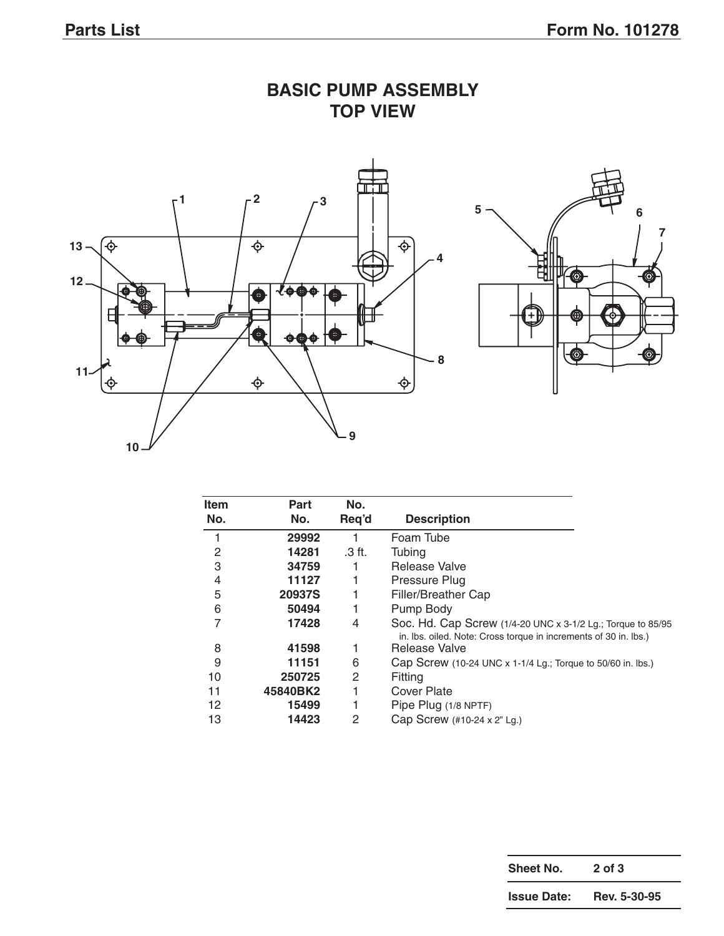

| <b>BASIC PUMP ASSEMBLY</b> |  |
|----------------------------|--|
| <b>TOP VIEW</b>            |  |

| Part<br>No.   | Req'd  | <b>Description</b>                                                                                                              |
|---------------|--------|---------------------------------------------------------------------------------------------------------------------------------|
| 29992         |        | Foam Tube                                                                                                                       |
| 14281         | .3 ft. | Tubing                                                                                                                          |
| 34759         |        | Release Valve                                                                                                                   |
| 11127         |        | Pressure Plug                                                                                                                   |
| <b>20937S</b> |        | Filler/Breather Cap                                                                                                             |
| 50494         | 1      | Pump Body                                                                                                                       |
| 17428         | 4      | Soc. Hd. Cap Screw (1/4-20 UNC x 3-1/2 Lg.; Torque to 85/95<br>in. Ibs. oiled. Note: Cross torque in increments of 30 in. Ibs.) |
| 41598         |        | <b>Release Valve</b>                                                                                                            |
| 11151         | 6      | Cap Screw (10-24 UNC x 1-1/4 Lg.; Torque to 50/60 in. lbs.)                                                                     |
| 250725        | 2      | Fitting                                                                                                                         |
| 45840BK2      |        | <b>Cover Plate</b>                                                                                                              |
| 15499         |        | Pipe Plug (1/8 NPTF)                                                                                                            |
| 14423         | 2      | Cap Screw (#10-24 x 2" Lg.)                                                                                                     |
|               |        | No.                                                                                                                             |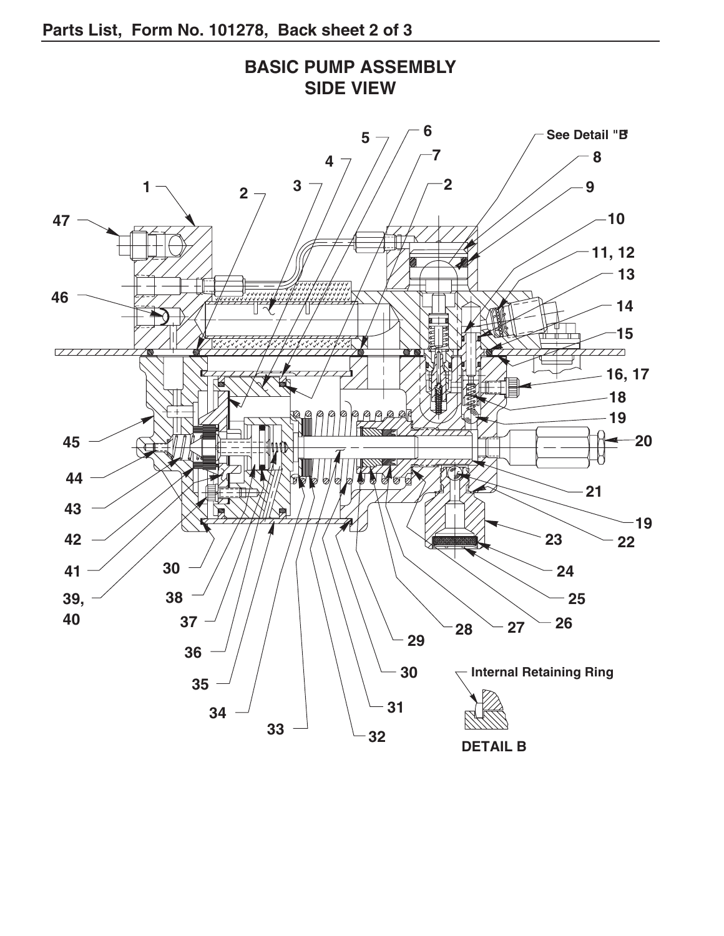